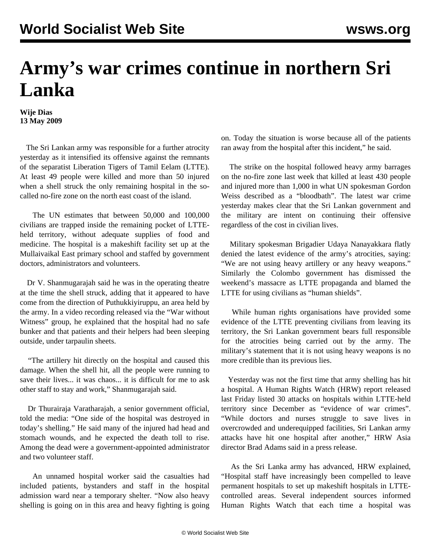## **Army's war crimes continue in northern Sri Lanka**

**Wije Dias 13 May 2009**

 The Sri Lankan army was responsible for a further atrocity yesterday as it intensified its offensive against the remnants of the separatist Liberation Tigers of Tamil Eelam (LTTE). At least 49 people were killed and more than 50 injured when a shell struck the only remaining hospital in the socalled no-fire zone on the north east coast of the island.

 The UN estimates that between 50,000 and 100,000 civilians are trapped inside the remaining pocket of LTTEheld territory, without adequate supplies of food and medicine. The hospital is a makeshift facility set up at the Mullaivaikal East primary school and staffed by government doctors, administrators and volunteers.

 Dr V. Shanmugarajah said he was in the operating theatre at the time the shell struck, adding that it appeared to have come from the direction of Puthukkiyiruppu, an area held by the army. In a video recording released via the "War without Witness" group, he explained that the hospital had no safe bunker and that patients and their helpers had been sleeping outside, under tarpaulin sheets.

 "The artillery hit directly on the hospital and caused this damage. When the shell hit, all the people were running to save their lives... it was chaos... it is difficult for me to ask other staff to stay and work," Shanmugarajah said.

 Dr Thurairaja Varatharajah, a senior government official, told the media: "One side of the hospital was destroyed in today's shelling." He said many of the injured had head and stomach wounds, and he expected the death toll to rise. Among the dead were a government-appointed administrator and two volunteer staff.

 An unnamed hospital worker said the casualties had included patients, bystanders and staff in the hospital admission ward near a temporary shelter. "Now also heavy shelling is going on in this area and heavy fighting is going on. Today the situation is worse because all of the patients ran away from the hospital after this incident," he said.

 The strike on the hospital followed heavy army barrages on the no-fire zone last week that killed at least 430 people and injured more than 1,000 in what UN spokesman Gordon Weiss described as a "bloodbath". The latest war crime yesterday makes clear that the Sri Lankan government and the military are intent on continuing their offensive regardless of the cost in civilian lives.

 Military spokesman Brigadier Udaya Nanayakkara flatly denied the latest evidence of the army's atrocities, saying: "We are not using heavy artillery or any heavy weapons." Similarly the Colombo government has dismissed the weekend's massacre as LTTE propaganda and blamed the LTTE for using civilians as "human shields".

 While human rights organisations have provided some evidence of the LTTE preventing civilians from leaving its territory, the Sri Lankan government bears full responsible for the atrocities being carried out by the army. The military's statement that it is not using heavy weapons is no more credible than its previous lies.

 Yesterday was not the first time that army shelling has hit a hospital. A Human Rights Watch (HRW) report released last Friday listed 30 attacks on hospitals within LTTE-held territory since December as "evidence of war crimes". "While doctors and nurses struggle to save lives in overcrowded and underequipped facilities, Sri Lankan army attacks have hit one hospital after another," HRW Asia director Brad Adams said in a press release.

 As the Sri Lanka army has advanced, HRW explained, "Hospital staff have increasingly been compelled to leave permanent hospitals to set up makeshift hospitals in LTTEcontrolled areas. Several independent sources informed Human Rights Watch that each time a hospital was